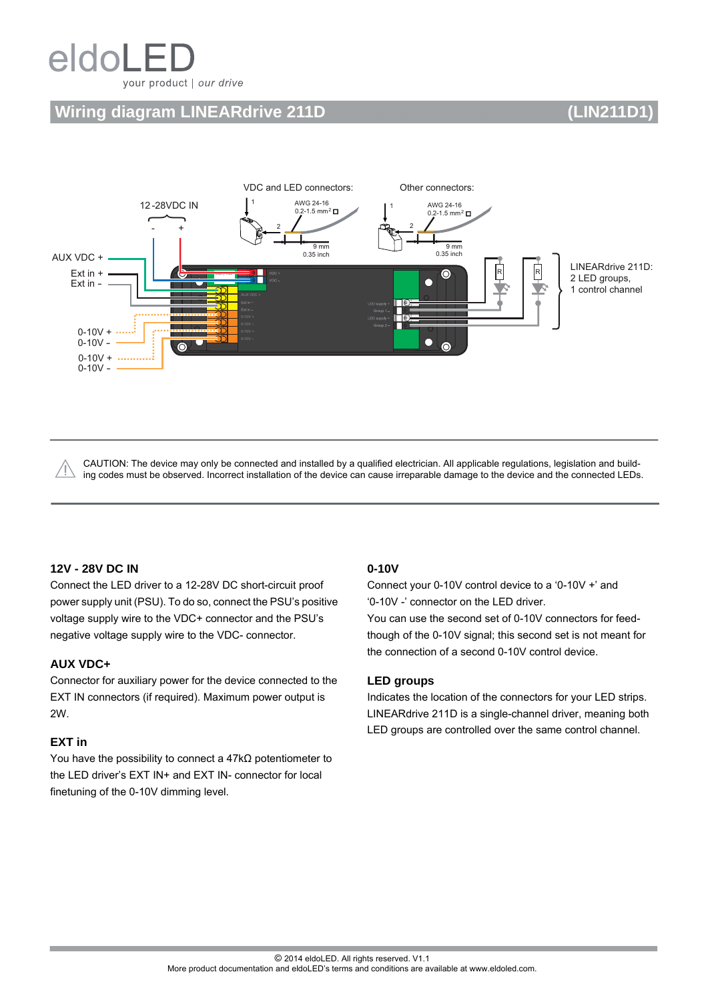# eldoL your product | our drive

## **Wiring diagram LINEARdrive 211D (LIN211D1)**



CAUTION: The device may only be connected and installed by a qualified electrician. All applicable regulations, legislation and building codes must be observed. Incorrect installation of the device can cause irreparable damage to the device and the connected LEDs.

#### **12V - 28V DC IN**

Connect the LED driver to a 12-28V DC short-circuit proof power supply unit (PSU). To do so, connect the PSU's positive voltage supply wire to the VDC+ connector and the PSU's negative voltage supply wire to the VDC- connector.

#### **AUX VDC+**

Connector for auxiliary power for the device connected to the EXT IN connectors (if required). Maximum power output is 2W.

#### **EXT in**

You have the possibility to connect a 47kΩ potentiometer to the LED driver's EXT IN+ and EXT IN- connector for local finetuning of the 0-10V dimming level.

#### **0-10V**

Connect your 0-10V control device to a '0-10V +' and '0-10V -' connector on the LED driver.

You can use the second set of 0-10V connectors for feedthough of the 0-10V signal; this second set is not meant for the connection of a second 0-10V control device.

#### **LED groups**

Indicates the location of the connectors for your LED strips. LINEARdrive 211D is a single-channel driver, meaning both LED groups are controlled over the same control channel.